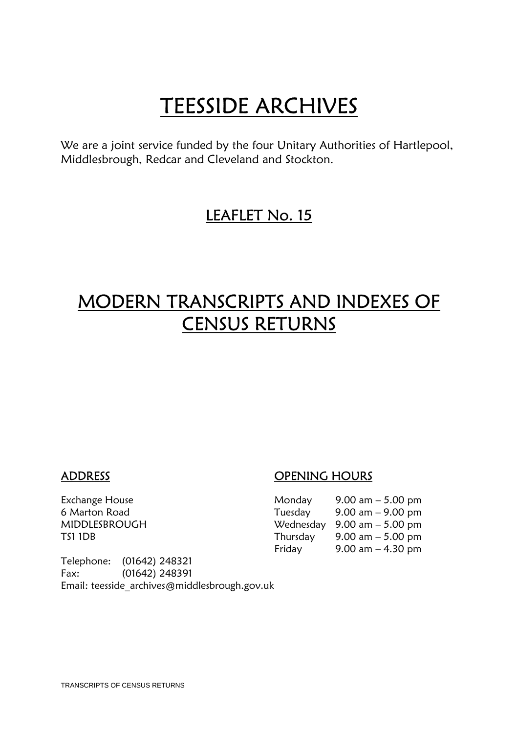**TEESSIDE ARCHIVES**<br>We are a joint service funded by the four Unitary Authorities of Hartlepool, Middlesbrough, Redcar and Cleveland and Stockton.

## LEAFLET No. 15

# MODERN TRANSCRIPTS AND INDEXES OF CENSUS RETURNS

## ADDRESS OPENING HOURS

| Exchange House | Monday   | 9.00 am $-$ 5.00 pm                           |
|----------------|----------|-----------------------------------------------|
| 6 Marton Road  | Tuesday  | $9.00 \text{ am} - 9.00 \text{ pm}$           |
| MIDDLESBROUGH  |          | Wednesday $9.00 \text{ am} - 5.00 \text{ pm}$ |
| TS1 1DB        | Thursday | 9.00 am $-$ 5.00 pm                           |
|                | Friday   | 9.00 am $-$ 4.30 pm                           |

Telephone: (01642) 248321 Fax: (01642) 248391 Email: teesside\_archives@middlesbrough.gov.uk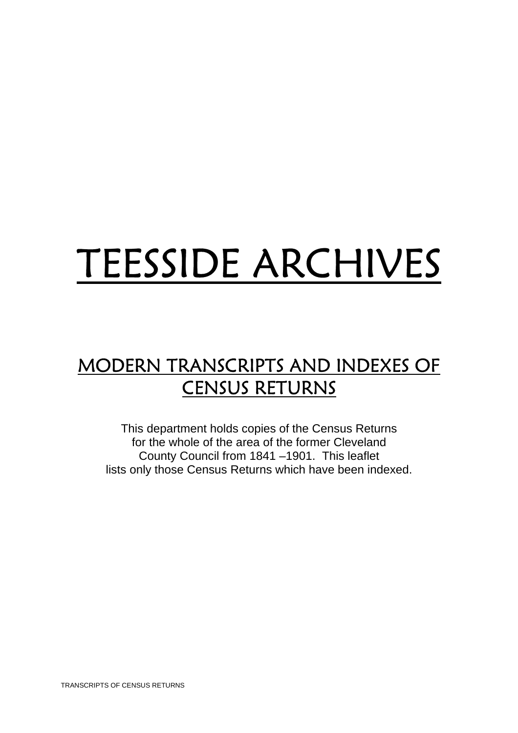# TEESSIDE ARCHIVES

# MODERN TRANSCRIPTS AND INDEXES OF CENSUS RETURNS

This department holds copies of the Census Returns for the whole of the area of the former Cleveland County Council from 1841 –1901. This leaflet lists only those Census Returns which have been indexed.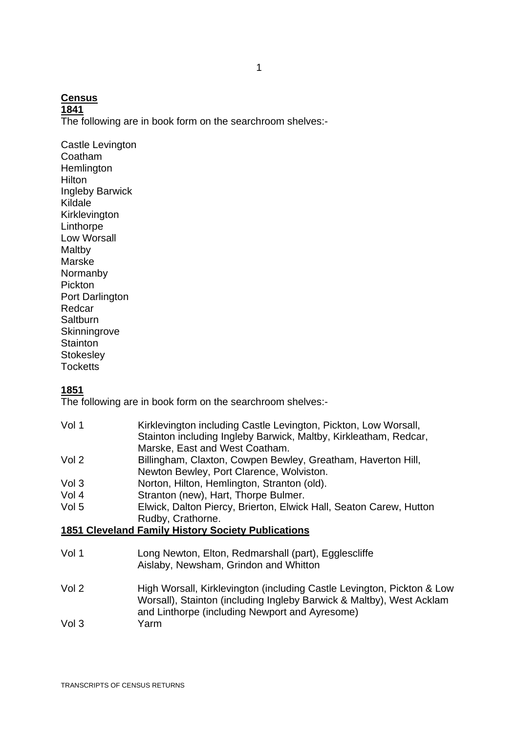#### **Census**

**1841**

The following are in book form on the searchroom shelves:-

Castle Levington Coatham **Hemlington** Hilton Ingleby Barwick Kildale Kirklevington **Linthorpe** Low Worsall Maltby Marske Normanby Pickton Port Darlington Redcar **Saltburn Skinningrove Stainton Stokesley Tocketts** 

#### **1851**

The following are in book form on the searchroom shelves:-

| Vol 1 | Kirklevington including Castle Levington, Pickton, Low Worsall,<br>Stainton including Ingleby Barwick, Maltby, Kirkleatham, Redcar, |
|-------|-------------------------------------------------------------------------------------------------------------------------------------|
|       | Marske, East and West Coatham.                                                                                                      |
| Vol 2 | Billingham, Claxton, Cowpen Bewley, Greatham, Haverton Hill,<br>Newton Bewley, Port Clarence, Wolviston.                            |
| Vol 3 | Norton, Hilton, Hemlington, Stranton (old).                                                                                         |
| Vol 4 | Stranton (new), Hart, Thorpe Bulmer.                                                                                                |
| Vol 5 | Elwick, Dalton Piercy, Brierton, Elwick Hall, Seaton Carew, Hutton                                                                  |
|       | Rudby, Crathorne.                                                                                                                   |
|       | <b>1851 Cleveland Family History Society Publications</b>                                                                           |
|       |                                                                                                                                     |
| Vol 1 | Long Newton, Elton, Redmarshall (part), Egglescliffe                                                                                |

- Aislaby, Newsham, Grindon and Whitton
- Vol 2 High Worsall, Kirklevington (including Castle Levington, Pickton & Low Worsall), Stainton (including Ingleby Barwick & Maltby), West Acklam and Linthorpe (including Newport and Ayresome) Vol 3 Yarm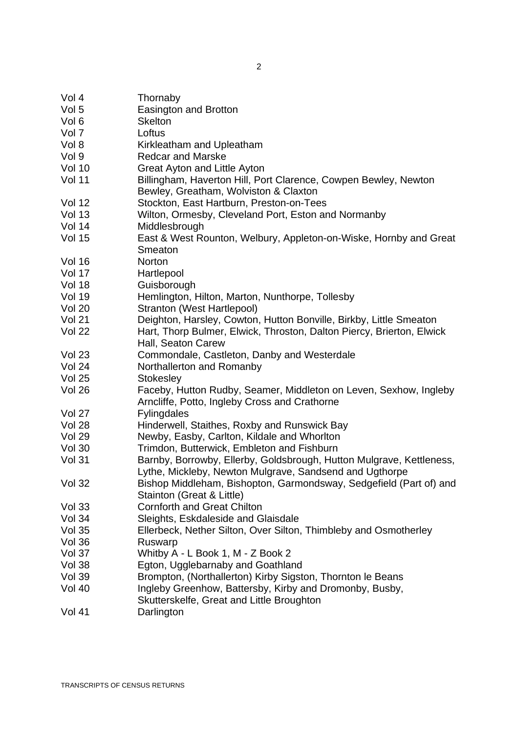| Vol 4         | Thornaby                                                                                                                        |
|---------------|---------------------------------------------------------------------------------------------------------------------------------|
| Vol 5         | Easington and Brotton                                                                                                           |
| Vol 6         | <b>Skelton</b>                                                                                                                  |
| Vol 7         | Loftus                                                                                                                          |
| Vol 8         | Kirkleatham and Upleatham                                                                                                       |
| Vol 9         | <b>Redcar and Marske</b>                                                                                                        |
| <b>Vol 10</b> | Great Ayton and Little Ayton                                                                                                    |
| <b>Vol 11</b> | Billingham, Haverton Hill, Port Clarence, Cowpen Bewley, Newton<br>Bewley, Greatham, Wolviston & Claxton                        |
| Vol 12        | Stockton, East Hartburn, Preston-on-Tees                                                                                        |
| Vol 13        | Wilton, Ormesby, Cleveland Port, Eston and Normanby                                                                             |
| <b>Vol 14</b> | Middlesbrough                                                                                                                   |
| Vol 15        | East & West Rounton, Welbury, Appleton-on-Wiske, Hornby and Great<br>Smeaton                                                    |
| Vol 16        | Norton                                                                                                                          |
| Vol 17        | Hartlepool                                                                                                                      |
| <b>Vol 18</b> | Guisborough                                                                                                                     |
| Vol 19        | Hemlington, Hilton, Marton, Nunthorpe, Tollesby                                                                                 |
| <b>Vol 20</b> | Stranton (West Hartlepool)                                                                                                      |
| Vol 21        | Deighton, Harsley, Cowton, Hutton Bonville, Birkby, Little Smeaton                                                              |
| <b>Vol 22</b> | Hart, Thorp Bulmer, Elwick, Throston, Dalton Piercy, Brierton, Elwick<br>Hall, Seaton Carew                                     |
| <b>Vol 23</b> | Commondale, Castleton, Danby and Westerdale                                                                                     |
| Vol 24        | Northallerton and Romanby                                                                                                       |
| Vol 25        | Stokesley                                                                                                                       |
| Vol 26        | Faceby, Hutton Rudby, Seamer, Middleton on Leven, Sexhow, Ingleby<br>Arncliffe, Potto, Ingleby Cross and Crathorne              |
| Vol 27        | <b>Fylingdales</b>                                                                                                              |
| <b>Vol 28</b> | Hinderwell, Staithes, Roxby and Runswick Bay                                                                                    |
| Vol 29        | Newby, Easby, Carlton, Kildale and Whorlton                                                                                     |
| <b>Vol 30</b> | Trimdon, Butterwick, Embleton and Fishburn                                                                                      |
| Vol 31        | Barnby, Borrowby, Ellerby, Goldsbrough, Hutton Mulgrave, Kettleness,<br>Lythe, Mickleby, Newton Mulgrave, Sandsend and Ugthorpe |
| <b>Vol 32</b> | Bishop Middleham, Bishopton, Garmondsway, Sedgefield (Part of) and<br>Stainton (Great & Little)                                 |
| <b>Vol 33</b> | <b>Cornforth and Great Chilton</b>                                                                                              |
| Vol 34        | Sleights, Eskdaleside and Glaisdale                                                                                             |
| Vol 35        | Ellerbeck, Nether Silton, Over Silton, Thimbleby and Osmotherley                                                                |
| Vol 36        | Ruswarp                                                                                                                         |
| Vol 37        | Whitby A - L Book 1, M - Z Book 2                                                                                               |
| Vol 38        | Egton, Ugglebarnaby and Goathland                                                                                               |
| Vol 39        | Brompton, (Northallerton) Kirby Sigston, Thornton le Beans                                                                      |
| <b>Vol 40</b> | Ingleby Greenhow, Battersby, Kirby and Dromonby, Busby,<br>Skutterskelfe, Great and Little Broughton                            |

Vol 41 Darlington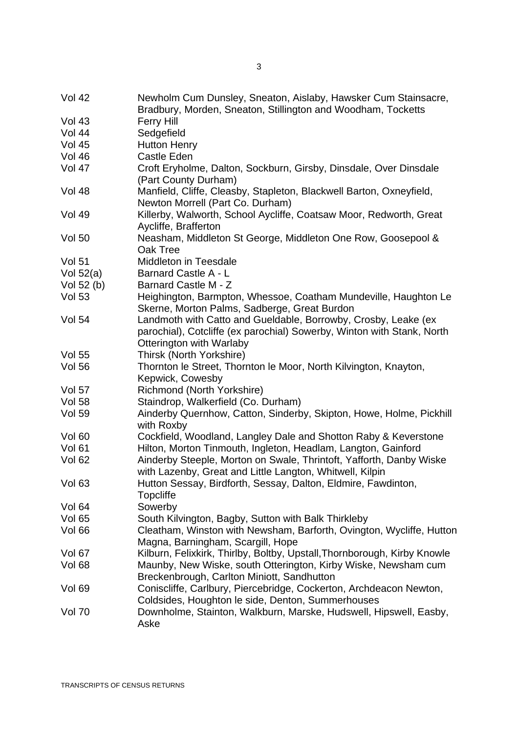| <b>Vol 42</b> | Newholm Cum Dunsley, Sneaton, Aislaby, Hawsker Cum Stainsacre,<br>Bradbury, Morden, Sneaton, Stillington and Woodham, Tocketts |
|---------------|--------------------------------------------------------------------------------------------------------------------------------|
| <b>Vol 43</b> | <b>Ferry Hill</b>                                                                                                              |
| <b>Vol 44</b> | Sedgefield                                                                                                                     |
| <b>Vol 45</b> | <b>Hutton Henry</b>                                                                                                            |
| <b>Vol 46</b> | Castle Eden                                                                                                                    |
| <b>Vol 47</b> | Croft Eryholme, Dalton, Sockburn, Girsby, Dinsdale, Over Dinsdale                                                              |
|               | (Part County Durham)                                                                                                           |
|               |                                                                                                                                |
| <b>Vol 48</b> | Manfield, Cliffe, Cleasby, Stapleton, Blackwell Barton, Oxneyfield,                                                            |
|               | Newton Morrell (Part Co. Durham)                                                                                               |
| <b>Vol 49</b> | Killerby, Walworth, School Aycliffe, Coatsaw Moor, Redworth, Great                                                             |
|               | Aycliffe, Brafferton                                                                                                           |
| <b>Vol 50</b> | Neasham, Middleton St George, Middleton One Row, Goosepool &                                                                   |
|               | Oak Tree                                                                                                                       |
| <b>Vol 51</b> | <b>Middleton in Teesdale</b>                                                                                                   |
| Vol $52(a)$   | Barnard Castle A - L                                                                                                           |
| Vol 52 $(b)$  | Barnard Castle M - Z                                                                                                           |
| <b>Vol 53</b> | Heighington, Barmpton, Whessoe, Coatham Mundeville, Haughton Le                                                                |
|               | Skerne, Morton Palms, Sadberge, Great Burdon                                                                                   |
| <b>Vol 54</b> | Landmoth with Catto and Gueldable, Borrowby, Crosby, Leake (ex                                                                 |
|               | parochial), Cotcliffe (ex parochial) Sowerby, Winton with Stank, North                                                         |
|               | Otterington with Warlaby                                                                                                       |
| <b>Vol 55</b> | Thirsk (North Yorkshire)                                                                                                       |
| <b>Vol 56</b> | Thornton le Street, Thornton le Moor, North Kilvington, Knayton,                                                               |
|               | Kepwick, Cowesby                                                                                                               |
| <b>Vol 57</b> | Richmond (North Yorkshire)                                                                                                     |
| <b>Vol 58</b> | Staindrop, Walkerfield (Co. Durham)                                                                                            |
| <b>Vol 59</b> | Ainderby Quernhow, Catton, Sinderby, Skipton, Howe, Holme, Pickhill                                                            |
|               | with Roxby                                                                                                                     |
|               |                                                                                                                                |
| Vol 60        | Cockfield, Woodland, Langley Dale and Shotton Raby & Keverstone                                                                |
| <b>Vol 61</b> | Hilton, Morton Tinmouth, Ingleton, Headlam, Langton, Gainford                                                                  |
| <b>Vol 62</b> | Ainderby Steeple, Morton on Swale, Thrintoft, Yafforth, Danby Wiske                                                            |
|               | with Lazenby, Great and Little Langton, Whitwell, Kilpin                                                                       |
| Vol 63        | Hutton Sessay, Birdforth, Sessay, Dalton, Eldmire, Fawdinton,                                                                  |
|               | <b>Topcliffe</b>                                                                                                               |
| <b>Vol 64</b> | Sowerby                                                                                                                        |
| <b>Vol 65</b> | South Kilvington, Bagby, Sutton with Balk Thirkleby                                                                            |
| Vol 66        | Cleatham, Winston with Newsham, Barforth, Ovington, Wycliffe, Hutton                                                           |
|               | Magna, Barningham, Scargill, Hope                                                                                              |
| Vol 67        | Kilburn, Felixkirk, Thirlby, Boltby, Upstall, Thornborough, Kirby Knowle                                                       |
| Vol 68        | Maunby, New Wiske, south Otterington, Kirby Wiske, Newsham cum                                                                 |
|               | Breckenbrough, Carlton Miniott, Sandhutton                                                                                     |
| <b>Vol 69</b> | Coniscliffe, Carlbury, Piercebridge, Cockerton, Archdeacon Newton,                                                             |
|               | Coldsides, Houghton le side, Denton, Summerhouses                                                                              |
| <b>Vol 70</b> | Downholme, Stainton, Walkburn, Marske, Hudswell, Hipswell, Easby,                                                              |
|               | Aske                                                                                                                           |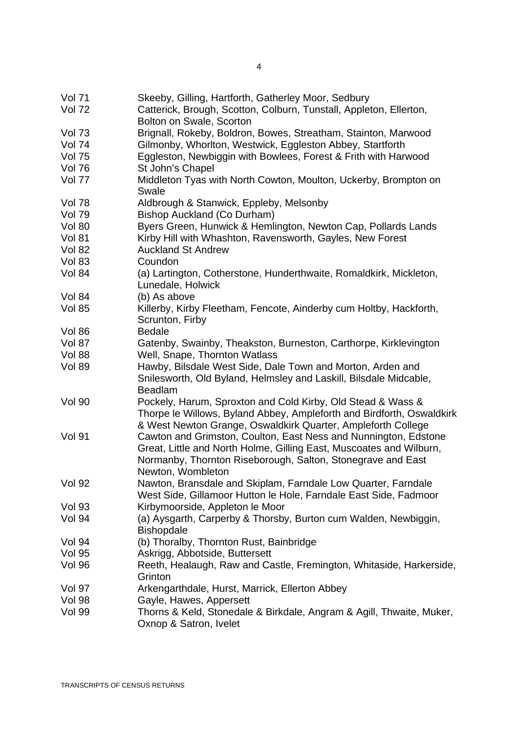| <b>Vol 71</b> | Skeeby, Gilling, Hartforth, Gatherley Moor, Sedbury                           |
|---------------|-------------------------------------------------------------------------------|
| <b>Vol 72</b> | Catterick, Brough, Scotton, Colburn, Tunstall, Appleton, Ellerton,            |
|               | Bolton on Swale, Scorton                                                      |
| <b>Vol 73</b> | Brignall, Rokeby, Boldron, Bowes, Streatham, Stainton, Marwood                |
| <b>Vol 74</b> | Gilmonby, Whorlton, Westwick, Eggleston Abbey, Startforth                     |
| <b>Vol 75</b> | Eggleston, Newbiggin with Bowlees, Forest & Frith with Harwood                |
| <b>Vol 76</b> | St John's Chapel                                                              |
| Vol 77        | Middleton Tyas with North Cowton, Moulton, Uckerby, Brompton on               |
|               | Swale                                                                         |
| <b>Vol 78</b> | Aldbrough & Stanwick, Eppleby, Melsonby                                       |
| <b>Vol 79</b> | Bishop Auckland (Co Durham)                                                   |
| <b>Vol 80</b> | Byers Green, Hunwick & Hemlington, Newton Cap, Pollards Lands                 |
| <b>Vol 81</b> | Kirby Hill with Whashton, Ravensworth, Gayles, New Forest                     |
| <b>Vol 82</b> | <b>Auckland St Andrew</b>                                                     |
| <b>Vol 83</b> | Coundon                                                                       |
| <b>Vol 84</b> | (a) Lartington, Cotherstone, Hunderthwaite, Romaldkirk, Mickleton,            |
|               | Lunedale, Holwick                                                             |
| <b>Vol 84</b> | (b) As above                                                                  |
| <b>Vol 85</b> | Killerby, Kirby Fleetham, Fencote, Ainderby cum Holtby, Hackforth,            |
|               | Scrunton, Firby                                                               |
| <b>Vol 86</b> | <b>Bedale</b>                                                                 |
| Vol 87        | Gatenby, Swainby, Theakston, Burneston, Carthorpe, Kirklevington              |
| <b>Vol 88</b> | Well, Snape, Thornton Watlass                                                 |
|               | Hawby, Bilsdale West Side, Dale Town and Morton, Arden and                    |
| <b>Vol 89</b> |                                                                               |
|               | Snilesworth, Old Byland, Helmsley and Laskill, Bilsdale Midcable,             |
| <b>Vol 90</b> | <b>Beadlam</b><br>Pockely, Harum, Sproxton and Cold Kirby, Old Stead & Wass & |
|               |                                                                               |
|               | Thorpe le Willows, Byland Abbey, Ampleforth and Birdforth, Oswaldkirk         |
|               | & West Newton Grange, Oswaldkirk Quarter, Ampleforth College                  |
| <b>Vol 91</b> | Cawton and Grimston, Coulton, East Ness and Nunnington, Edstone               |
|               | Great, Little and North Holme, Gilling East, Muscoates and Wilburn,           |
|               | Normanby, Thornton Riseborough, Salton, Stonegrave and East                   |
|               | Newton, Wombleton                                                             |
| <b>Vol 92</b> | Nawton, Bransdale and Skiplam, Farndale Low Quarter, Farndale                 |
|               | West Side, Gillamoor Hutton le Hole, Farndale East Side, Fadmoor              |
| <b>Vol 93</b> | Kirbymoorside, Appleton le Moor                                               |
| <b>Vol 94</b> | (a) Aysgarth, Carperby & Thorsby, Burton cum Walden, Newbiggin,               |
|               | <b>Bishopdale</b>                                                             |
| <b>Vol 94</b> | (b) Thoralby, Thornton Rust, Bainbridge                                       |
| <b>Vol 95</b> | Askrigg, Abbotside, Buttersett                                                |
| <b>Vol 96</b> | Reeth, Healaugh, Raw and Castle, Fremington, Whitaside, Harkerside,           |
|               | Grinton                                                                       |
| Vol 97        | Arkengarthdale, Hurst, Marrick, Ellerton Abbey                                |
| <b>Vol 98</b> | Gayle, Hawes, Appersett                                                       |
| <b>Vol 99</b> | Thorns & Keld, Stonedale & Birkdale, Angram & Agill, Thwaite, Muker,          |
|               | Oxnop & Satron, Ivelet                                                        |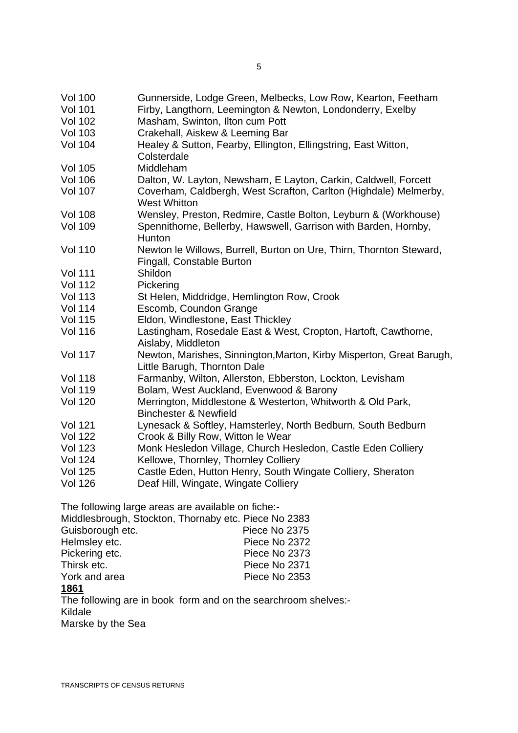| <b>Vol 100</b><br><b>Vol 101</b> | Gunnerside, Lodge Green, Melbecks, Low Row, Kearton, Feetham<br>Firby, Langthorn, Leemington & Newton, Londonderry, Exelby |
|----------------------------------|----------------------------------------------------------------------------------------------------------------------------|
| <b>Vol 102</b>                   | Masham, Swinton, Ilton cum Pott                                                                                            |
| <b>Vol 103</b>                   | Crakehall, Aiskew & Leeming Bar                                                                                            |
|                                  |                                                                                                                            |
| <b>Vol 104</b>                   | Healey & Sutton, Fearby, Ellington, Ellingstring, East Witton,<br>Colsterdale                                              |
| <b>Vol 105</b>                   | Middleham                                                                                                                  |
| <b>Vol 106</b>                   | Dalton, W. Layton, Newsham, E Layton, Carkin, Caldwell, Forcett                                                            |
| <b>Vol 107</b>                   | Coverham, Caldbergh, West Scrafton, Carlton (Highdale) Melmerby,<br><b>West Whitton</b>                                    |
| <b>Vol 108</b>                   | Wensley, Preston, Redmire, Castle Bolton, Leyburn & (Workhouse)                                                            |
| <b>Vol 109</b>                   | Spennithorne, Bellerby, Hawswell, Garrison with Barden, Hornby,<br>Hunton                                                  |
| <b>Vol 110</b>                   | Newton le Willows, Burrell, Burton on Ure, Thirn, Thornton Steward,<br>Fingall, Constable Burton                           |
| <b>Vol 111</b>                   | Shildon                                                                                                                    |
| <b>Vol 112</b>                   | Pickering                                                                                                                  |
| <b>Vol 113</b>                   | St Helen, Middridge, Hemlington Row, Crook                                                                                 |
| <b>Vol 114</b>                   | Escomb, Coundon Grange                                                                                                     |
| <b>Vol 115</b>                   | Eldon, Windlestone, East Thickley                                                                                          |
| <b>Vol 116</b>                   | Lastingham, Rosedale East & West, Cropton, Hartoft, Cawthorne,<br>Aislaby, Middleton                                       |
| <b>Vol 117</b>                   | Newton, Marishes, Sinnington, Marton, Kirby Misperton, Great Barugh,<br>Little Barugh, Thornton Dale                       |
| <b>Vol 118</b>                   | Farmanby, Wilton, Allerston, Ebberston, Lockton, Levisham                                                                  |
| <b>Vol 119</b>                   | Bolam, West Auckland, Evenwood & Barony                                                                                    |
| <b>Vol 120</b>                   | Merrington, Middlestone & Westerton, Whitworth & Old Park,<br><b>Binchester &amp; Newfield</b>                             |
| <b>Vol 121</b>                   | Lynesack & Softley, Hamsterley, North Bedburn, South Bedburn                                                               |
| <b>Vol 122</b>                   | Crook & Billy Row, Witton le Wear                                                                                          |
| <b>Vol 123</b>                   | Monk Hesledon Village, Church Hesledon, Castle Eden Colliery                                                               |
| <b>Vol 124</b>                   | Kellowe, Thornley, Thornley Colliery                                                                                       |
| <b>Vol 125</b>                   | Castle Eden, Hutton Henry, South Wingate Colliery, Sheraton                                                                |
| <b>Vol 126</b>                   | Deaf Hill, Wingate, Wingate Colliery                                                                                       |
|                                  |                                                                                                                            |

The following large areas are available on fiche:-

| Middlesbrough, Stockton, Thornaby etc. Piece No 2383 |               |  |
|------------------------------------------------------|---------------|--|
| Guisborough etc.                                     | Piece No 2375 |  |
| Helmsley etc.                                        | Piece No 2372 |  |
| Pickering etc.                                       | Piece No 2373 |  |
| Thirsk etc.                                          | Piece No 2371 |  |
| York and area                                        | Piece No 2353 |  |
| 40C4                                                 |               |  |

#### **1861**

The following are in book form and on the searchroom shelves:- Kildale Marske by the Sea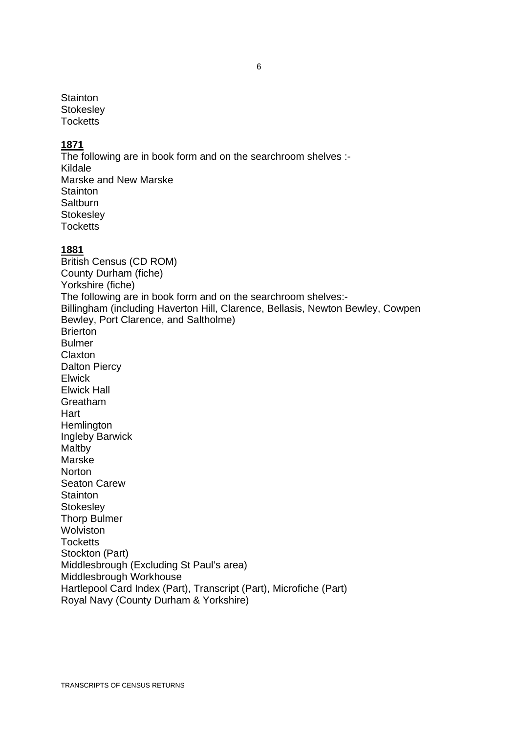**Stainton Stokeslev** Tocketts

#### **1871**

The following are in book form and on the searchroom shelves :-Kildale Marske and New Marske **Stainton Saltburn Stokeslev Tocketts** 

#### **1881**

British Census (CD ROM) County Durham (fiche) Yorkshire (fiche) The following are in book form and on the searchroom shelves:- Billingham (including Haverton Hill, Clarence, Bellasis, Newton Bewley, Cowpen Bewley, Port Clarence, and Saltholme) Brierton Bulmer Claxton Dalton Piercy Elwick Elwick Hall Greatham Hart **Hemlington** Ingleby Barwick **Maltby** Marske **Norton** Seaton Carew **Stainton Stokesley** Thorp Bulmer **Wolviston Tocketts** Stockton (Part) Middlesbrough (Excluding St Paul's area) Middlesbrough Workhouse Hartlepool Card Index (Part), Transcript (Part), Microfiche (Part) Royal Navy (County Durham & Yorkshire)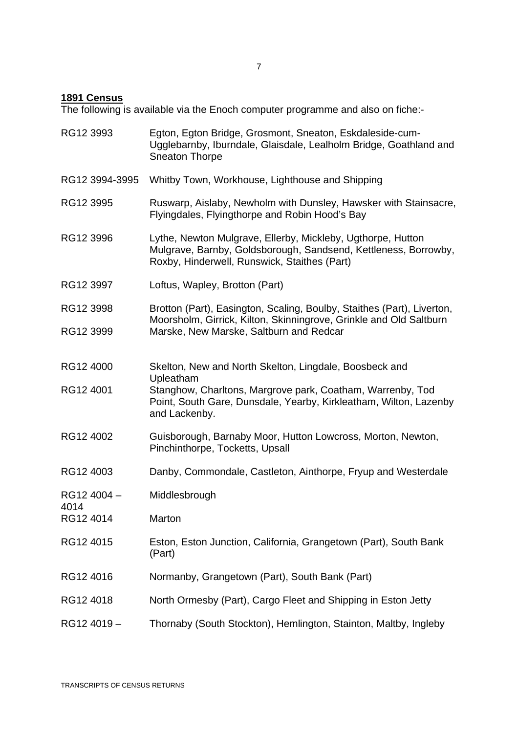#### **1891 Census**

The following is available via the Enoch computer programme and also on fiche:-

RG12 3993 Egton, Egton Bridge, Grosmont, Sneaton, Eskdaleside-cum-Ugglebarnby, Iburndale, Glaisdale, Lealholm Bridge, Goathland and Sneaton Thorpe RG12 3994-3995 Whitby Town, Workhouse, Lighthouse and Shipping RG12 3995 Ruswarp, Aislaby, Newholm with Dunsley, Hawsker with Stainsacre, Flyingdales, Flyingthorpe and Robin Hood's Bay RG12 3996 Lythe, Newton Mulgrave, Ellerby, Mickleby, Ugthorpe, Hutton Mulgrave, Barnby, Goldsborough, Sandsend, Kettleness, Borrowby, Roxby, Hinderwell, Runswick, Staithes (Part) RG12 3997 Loftus, Wapley, Brotton (Part) RG12 3998 Brotton (Part), Easington, Scaling, Boulby, Staithes (Part), Liverton, Moorsholm, Girrick, Kilton, Skinningrove, Grinkle and Old Saltburn RG12 3999 Marske, New Marske, Saltburn and Redcar RG12 4000 Skelton, New and North Skelton, Lingdale, Boosbeck and Upleatham RG12 4001 Stanghow, Charltons, Margrove park, Coatham, Warrenby, Tod Point, South Gare, Dunsdale, Yearby, Kirkleatham, Wilton, Lazenby and Lackenby. RG12 4002 Guisborough, Barnaby Moor, Hutton Lowcross, Morton, Newton, Pinchinthorpe, Tocketts, Upsall RG12 4003 Danby, Commondale, Castleton, Ainthorpe, Fryup and Westerdale RG12 4004 – 4014 Middlesbrough RG12 4014 Marton RG12 4015 Eston, Eston Junction, California, Grangetown (Part), South Bank (Part) RG12 4016 Normanby, Grangetown (Part), South Bank (Part) RG12 4018 North Ormesby (Part), Cargo Fleet and Shipping in Eston Jetty RG12 4019 – Thornaby (South Stockton), Hemlington, Stainton, Maltby, Ingleby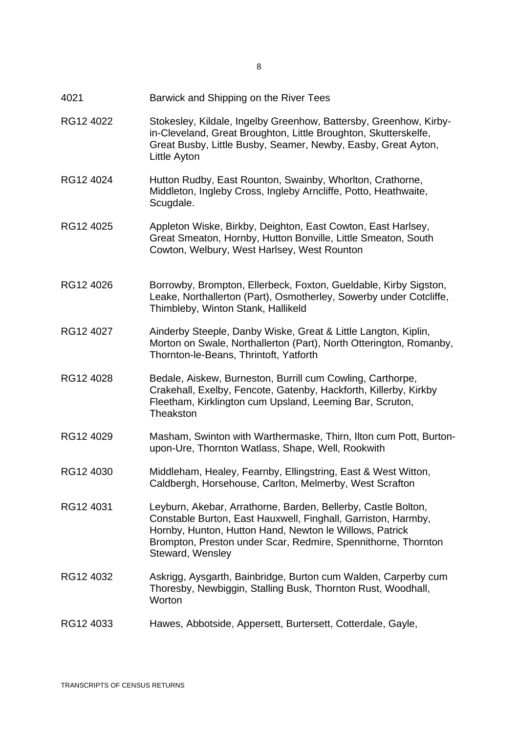- 4021 Barwick and Shipping on the River Tees
- RG12 4022 Stokesley, Kildale, Ingelby Greenhow, Battersby, Greenhow, Kirbyin-Cleveland, Great Broughton, Little Broughton, Skutterskelfe, Great Busby, Little Busby, Seamer, Newby, Easby, Great Ayton, Little Ayton
- RG12 4024 Hutton Rudby, East Rounton, Swainby, Whorlton, Crathorne, Middleton, Ingleby Cross, Ingleby Arncliffe, Potto, Heathwaite, Scugdale.
- RG12 4025 Appleton Wiske, Birkby, Deighton, East Cowton, East Harlsey, Great Smeaton, Hornby, Hutton Bonville, Little Smeaton, South Cowton, Welbury, West Harlsey, West Rounton
- RG12 4026 Borrowby, Brompton, Ellerbeck, Foxton, Gueldable, Kirby Sigston, Leake, Northallerton (Part), Osmotherley, Sowerby under Cotcliffe, Thimbleby, Winton Stank, Hallikeld
- RG12 4027 Ainderby Steeple, Danby Wiske, Great & Little Langton, Kiplin, Morton on Swale, Northallerton (Part), North Otterington, Romanby, Thornton-le-Beans, Thrintoft, Yatforth
- RG12 4028 Bedale, Aiskew, Burneston, Burrill cum Cowling, Carthorpe, Crakehall, Exelby, Fencote, Gatenby, Hackforth, Killerby, Kirkby Fleetham, Kirklington cum Upsland, Leeming Bar, Scruton, **Theakston**
- RG12 4029 Masham, Swinton with Warthermaske, Thirn, Ilton cum Pott, Burtonupon-Ure, Thornton Watlass, Shape, Well, Rookwith
- RG12 4030 Middleham, Healey, Fearnby, Ellingstring, East & West Witton, Caldbergh, Horsehouse, Carlton, Melmerby, West Scrafton
- RG12 4031 Leyburn, Akebar, Arrathorne, Barden, Bellerby, Castle Bolton, Constable Burton, East Hauxwell, Finghall, Garriston, Harmby, Hornby, Hunton, Hutton Hand, Newton le Willows, Patrick Brompton, Preston under Scar, Redmire, Spennithorne, Thornton Steward, Wensley
- RG12 4032 Askrigg, Aysgarth, Bainbridge, Burton cum Walden, Carperby cum Thoresby, Newbiggin, Stalling Busk, Thornton Rust, Woodhall, **Worton**
- RG12 4033 Hawes, Abbotside, Appersett, Burtersett, Cotterdale, Gayle,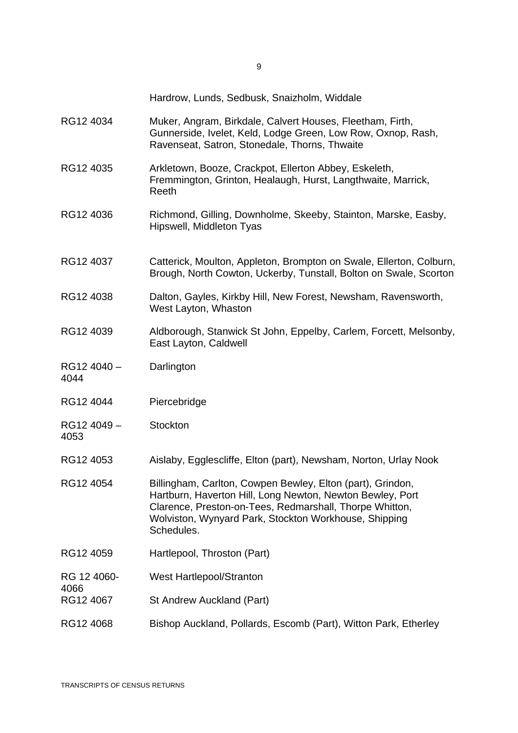Hardrow, Lunds, Sedbusk, Snaizholm, Widdale

- RG12 4034 Muker, Angram, Birkdale, Calvert Houses, Fleetham, Firth, Gunnerside, Ivelet, Keld, Lodge Green, Low Row, Oxnop, Rash, Ravenseat, Satron, Stonedale, Thorns, Thwaite
- RG12 4035 Arkletown, Booze, Crackpot, Ellerton Abbey, Eskeleth, Fremmington, Grinton, Healaugh, Hurst, Langthwaite, Marrick, Reeth
- RG12 4036 Richmond, Gilling, Downholme, Skeeby, Stainton, Marske, Easby, Hipswell, Middleton Tyas
- RG12 4037 Catterick, Moulton, Appleton, Brompton on Swale, Ellerton, Colburn, Brough, North Cowton, Uckerby, Tunstall, Bolton on Swale, Scorton
- RG12 4038 Dalton, Gayles, Kirkby Hill, New Forest, Newsham, Ravensworth, West Layton, Whaston
- RG12 4039 Aldborough, Stanwick St John, Eppelby, Carlem, Forcett, Melsonby, East Layton, Caldwell
- RG12 4040 4044 **Darlington**
- RG12 4044 Piercebridge
- RG12 4049 4053 **Stockton**
- RG12 4053 Aislaby, Egglescliffe, Elton (part), Newsham, Norton, Urlay Nook
- RG12 4054 Billingham, Carlton, Cowpen Bewley, Elton (part), Grindon, Hartburn, Haverton Hill, Long Newton, Newton Bewley, Port Clarence, Preston-on-Tees, Redmarshall, Thorpe Whitton, Wolviston, Wynyard Park, Stockton Workhouse, Shipping Schedules.
- RG12 4059 Hartlepool, Throston (Part)
- RG 12 4060- West Hartlepool/Stranton
- RG12 4067 St Andrew Auckland (Part)
- RG12 4068 Bishop Auckland, Pollards, Escomb (Part), Witton Park, Etherley

4066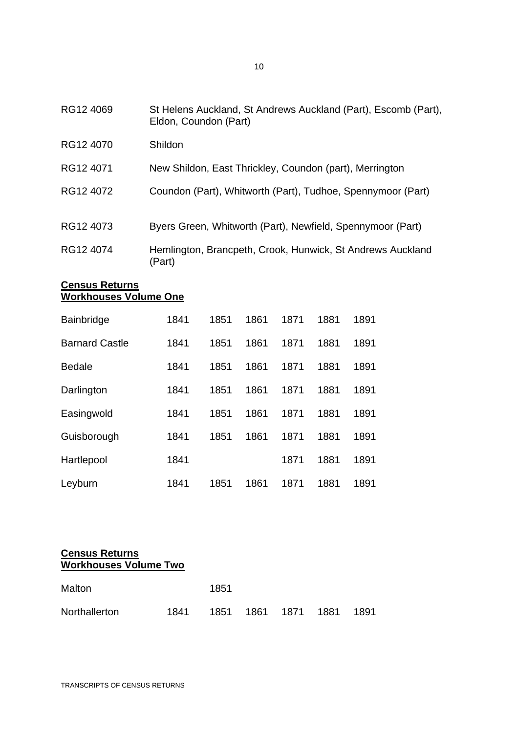| RG12 4069 | St Helens Auckland, St Andrews Auckland (Part), Escomb (Part),<br>Eldon, Coundon (Part) |
|-----------|-----------------------------------------------------------------------------------------|
| RG12 4070 | Shildon                                                                                 |
| RG12 4071 | New Shildon, East Thrickley, Coundon (part), Merrington                                 |
| RG12 4072 | Coundon (Part), Whitworth (Part), Tudhoe, Spennymoor (Part)                             |
| RG12 4073 | Byers Green, Whitworth (Part), Newfield, Spennymoor (Part)                              |
| RG12 4074 | Hemlington, Brancpeth, Crook, Hunwick, St Andrews Auckland<br>(Part)                    |

#### **Census Returns Workhouses Volume One**

| <b>Bainbridge</b>     | 1841 | 1851 | 1861 | 1871 | 1881 | 1891 |
|-----------------------|------|------|------|------|------|------|
| <b>Barnard Castle</b> | 1841 | 1851 | 1861 | 1871 | 1881 | 1891 |
| <b>Bedale</b>         | 1841 | 1851 | 1861 | 1871 | 1881 | 1891 |
| Darlington            | 1841 | 1851 | 1861 | 1871 | 1881 | 1891 |
| Easingwold            | 1841 | 1851 | 1861 | 1871 | 1881 | 1891 |
| Guisborough           | 1841 | 1851 | 1861 | 1871 | 1881 | 1891 |
| Hartlepool            | 1841 |      |      | 1871 | 1881 | 1891 |
| Leyburn               | 1841 | 1851 | 1861 | 1871 | 1881 | 1891 |

#### **Census Returns Workhouses Volume Two**

| Malton        |      | 1851 |                     |  |      |
|---------------|------|------|---------------------|--|------|
| Northallerton | 1841 |      | 1851 1861 1871 1881 |  | 1891 |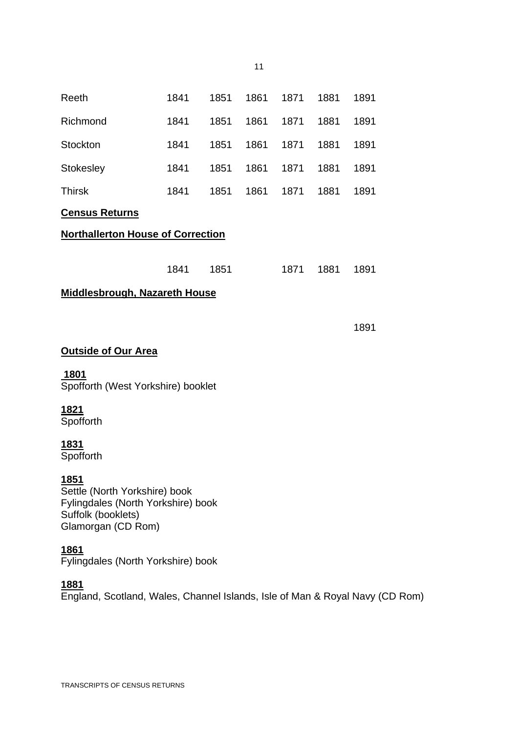| Reeth                                                                                                                            | 1841 | 1851 | 1861 | 1871 | 1881 | 1891 |
|----------------------------------------------------------------------------------------------------------------------------------|------|------|------|------|------|------|
| Richmond                                                                                                                         | 1841 | 1851 | 1861 | 1871 | 1881 | 1891 |
| Stockton                                                                                                                         | 1841 | 1851 | 1861 | 1871 | 1881 | 1891 |
| <b>Stokesley</b>                                                                                                                 | 1841 | 1851 | 1861 | 1871 | 1881 | 1891 |
| <b>Thirsk</b>                                                                                                                    | 1841 | 1851 | 1861 | 1871 | 1881 | 1891 |
| <b>Census Returns</b>                                                                                                            |      |      |      |      |      |      |
| <b>Northallerton House of Correction</b>                                                                                         |      |      |      |      |      |      |
|                                                                                                                                  |      |      |      |      |      |      |
|                                                                                                                                  | 1841 | 1851 |      | 1871 | 1881 | 1891 |
| <b>Middlesbrough, Nazareth House</b>                                                                                             |      |      |      |      |      |      |
|                                                                                                                                  |      |      |      |      |      |      |
|                                                                                                                                  |      |      |      |      |      | 1891 |
| <b>Outside of Our Area</b>                                                                                                       |      |      |      |      |      |      |
| 1801<br>Spofforth (West Yorkshire) booklet                                                                                       |      |      |      |      |      |      |
| 1821<br>Spofforth                                                                                                                |      |      |      |      |      |      |
| 1831<br>Spofforth                                                                                                                |      |      |      |      |      |      |
| <u> 1851 </u><br>Settle (North Yorkshire) book<br>Fylingdales (North Yorkshire) book<br>Suffolk (booklets)<br>Glamorgan (CD Rom) |      |      |      |      |      |      |
| 1861<br>Fylingdales (North Yorkshire) book                                                                                       |      |      |      |      |      |      |
| <u> 1881</u>                                                                                                                     |      |      |      |      |      |      |

11

England, Scotland, Wales, Channel Islands, Isle of Man & Royal Navy (CD Rom)